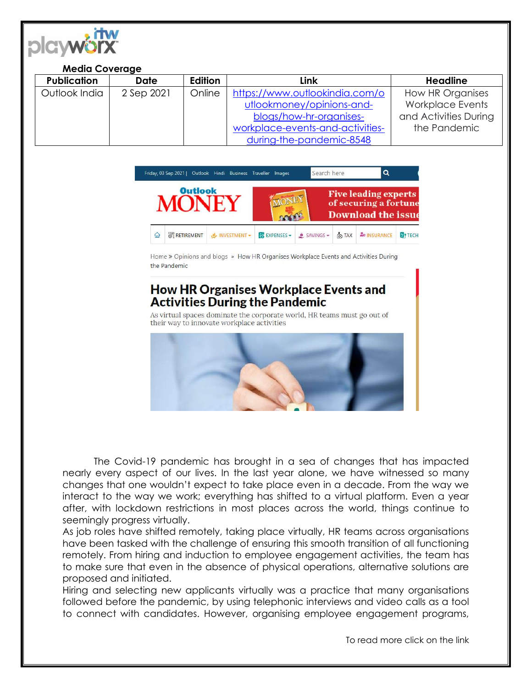

#### **Media Coverage**

| <b>Publication</b> | <b>Date</b> | Edition | Link                             | <b>Headline</b>         |
|--------------------|-------------|---------|----------------------------------|-------------------------|
| Outlook India      | 2 Sep 2021  | Online  | https://www.outlookindia.com/o   | How HR Organises        |
|                    |             |         | utlookmoney/opinions-and-        | <b>Workplace Events</b> |
|                    |             |         | blogs/how-hr-organises-          | and Activities During   |
|                    |             |         | workplace-events-and-activities- | the Pandemic            |
|                    |             |         | during-the-pandemic-8548         |                         |



Home » Opinions and blogs » How HR Organises Workplace Events and Activities During the Pandemic

# **How HR Organises Workplace Events and Activities During the Pandemic**

As virtual spaces dominate the corporate world, HR teams must go out of their way to innovate workplace activities



The Covid-19 pandemic has brought in a sea of changes that has impacted nearly every aspect of our lives. In the last year alone, we have witnessed so many changes that one wouldn't expect to take place even in a decade. From the way we interact to the way we work; everything has shifted to a virtual platform. Even a year after, with lockdown restrictions in most places across the world, things continue to seemingly progress virtually.

As job roles have shifted remotely, taking place virtually, HR teams across organisations have been tasked with the challenge of ensuring this smooth transition of all functioning remotely. From hiring and induction to employee engagement activities, the team has to make sure that even in the absence of physical operations, alternative solutions are proposed and initiated.

Hiring and selecting new applicants virtually was a practice that many organisations followed before the pandemic, by using telephonic interviews and video calls as a tool to connect with candidates. However, organising employee engagement programs,

To read more click on the link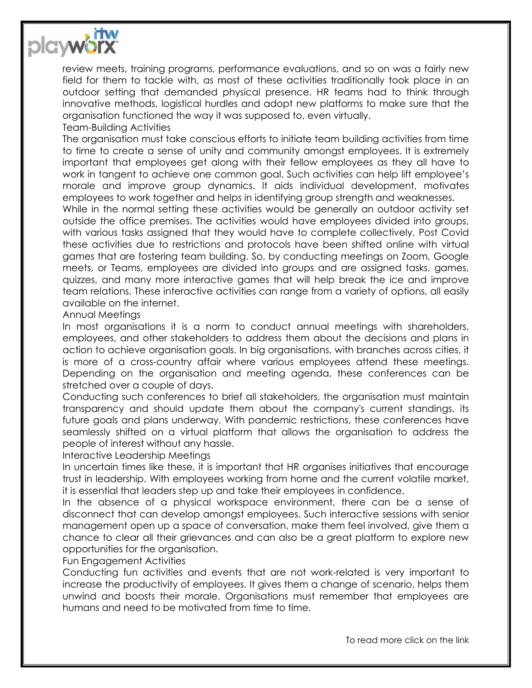

review meets, training programs, performance evaluations, and so on was a fairly new field for them to tackle with, as most of these activities traditionally took place in an outdoor setting that demanded physical presence. HR teams had to think through innovative methods, logistical hurdles and adopt new platforms to make sure that the organisation functioned the way it was supposed to, even virtually.

Team-Building Activities

The organisation must take conscious efforts to initiate team building activities from time to time to create a sense of unity and community amongst employees. It is extremely important that employees get along with their fellow employees as they all have to work in tangent to achieve one common goal. Such activities can help lift employee's morale and improve group dynamics. It aids individual development, motivates employees to work together and helps in identifying group strength and weaknesses.

While in the normal setting these activities would be generally an outdoor activity set outside the office premises. The activities would have employees divided into groups, with various tasks assigned that they would have to complete collectively. Post Covid these activities due to restrictions and protocols have been shifted online with virtual games that are fostering team building. So, by conducting meetings on Zoom, Google meets, or Teams, employees are divided into groups and are assigned tasks, games, quizzes, and many more interactive games that will help break the ice and improve team relations. These interactive activities can range from a variety of options, all easily available on the internet.

### Annual Meetings

In most organisations it is a norm to conduct annual meetings with shareholders, employees, and other stakeholders to address them about the decisions and plans in action to achieve organisation goals. In big organisations, with branches across cities, it is more of a cross-country affair where various employees attend these meetings. Depending on the organisation and meeting agenda, these conferences can be stretched over a couple of days.

Conducting such conferences to brief all stakeholders, the organisation must maintain transparency and should update them about the company's current standings, its future goals and plans underway. With pandemic restrictions, these conferences have seamlessly shifted on a virtual platform that allows the organisation to address the people of interest without any hassle.

# Interactive Leadership Meetings

In uncertain times like these, it is important that HR organises initiatives that encourage trust in leadership. With employees working from home and the current volatile market, it is essential that leaders step up and take their employees in confidence.

In the absence of a physical workspace environment, there can be a sense of disconnect that can develop amongst employees. Such interactive sessions with senior management open up a space of conversation, make them feel involved, give them a chance to clear all their grievances and can also be a great platform to explore new opportunities for the organisation.

# Fun Engagement Activities

Conducting fun activities and events that are not work-related is very important to increase the productivity of employees. It gives them a change of scenario, helps them unwind and boosts their morale. Organisations must remember that employees are humans and need to be motivated from time to time.